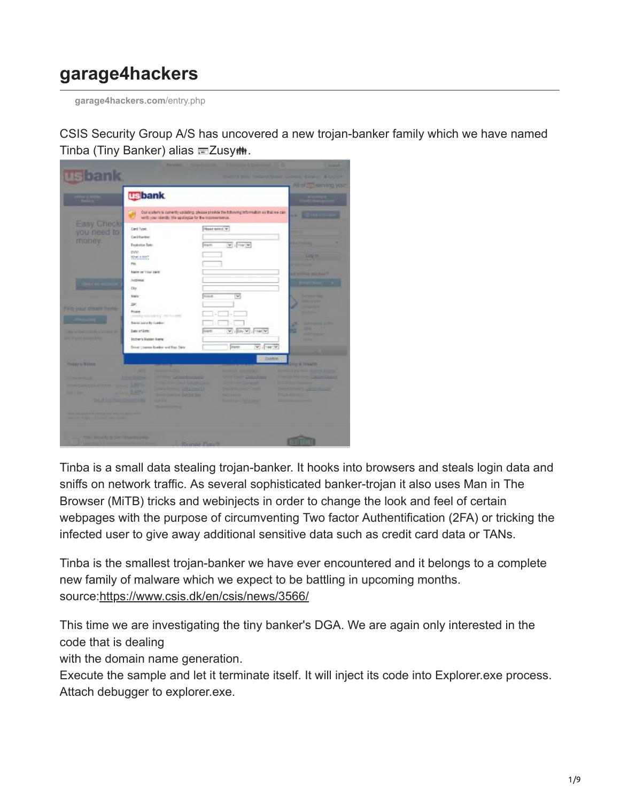## **garage4hackers**

**[garage4hackers.com](http://garage4hackers.com/entry.php?b=3086)**/entry.php

CSIS Security Group A/S has uncovered a new trojan-banker family which we have named Tinba (Tiny Banker) alias Zusy<sub>tt:</sub>



Tinba is a small data stealing trojan-banker. It hooks into browsers and steals login data and sniffs on network traffic. As several sophisticated banker-trojan it also uses Man in The Browser (MiTB) tricks and webinjects in order to change the look and feel of certain webpages with the purpose of circumventing Two factor Authentification (2FA) or tricking the infected user to give away additional sensitive data such as credit card data or TANs.

Tinba is the smallest trojan-banker we have ever encountered and it belongs to a complete new family of malware which we expect to be battling in upcoming months. source[:https://www.csis.dk/en/csis/news/3566/](https://www.csis.dk/en/csis/news/3566/)

This time we are investigating the tiny banker's DGA. We are again only interested in the code that is dealing

with the domain name generation.

Execute the sample and let it terminate itself. It will inject its code into Explorer.exe process. Attach debugger to explorer.exe.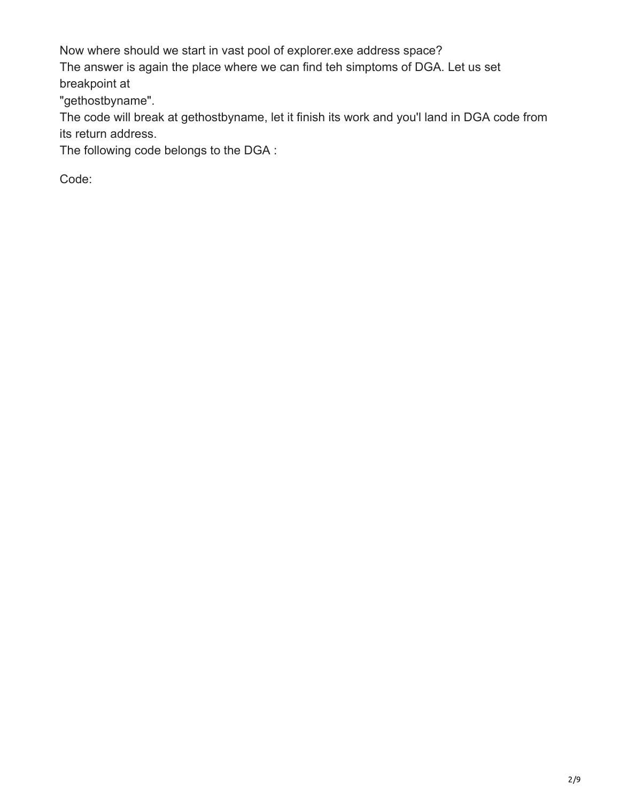Now where should we start in vast pool of explorer.exe address space?

The answer is again the place where we can find teh simptoms of DGA. Let us set breakpoint at

"gethostbyname".

The code will break at gethostbyname, let it finish its work and you'l land in DGA code from its return address.

The following code belongs to the DGA :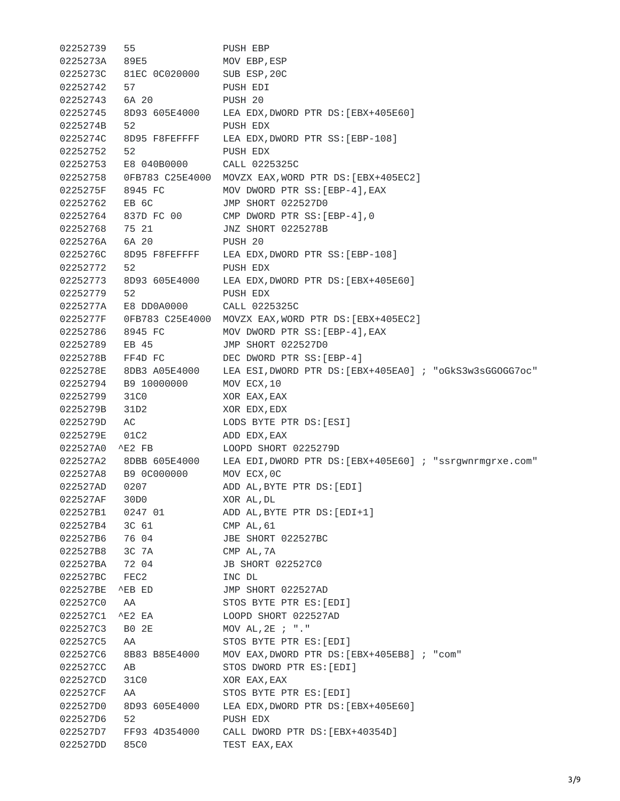02252739 55 PUSH EBP 0225273A 89E5 MOV EBP,ESP 0225273C 81EC 0C020000 SUB ESP,20C 02252742 57 PUSH EDI 02252743 6A 20 PUSH 20 02252745 8D93 605E4000 LEA EDX,DWORD PTR DS:[EBX+405E60] 0225274B 52 PUSH EDX 0225274C 8D95 F8FEFFFF LEA EDX,DWORD PTR SS:[EBP-108] 02252752 52 PUSH EDX 02252753 E8 040B0000 CALL 0225325C 02252758 0FB783 C25E4000 MOVZX EAX,WORD PTR DS:[EBX+405EC2] 0225275F 8945 FC MOV DWORD PTR SS:[EBP-4],EAX 02252762 EB 6C JMP SHORT 022527D0 02252764 837D FC 00 CMP DWORD PTR SS:[EBP-4],0 02252768 75 21 JNZ SHORT 0225278B 0225276A 6A 20 PUSH 20 0225276C 8D95 F8FEFFFF LEA EDX,DWORD PTR SS:[EBP-108] 02252772 52 PUSH EDX 02252773 8D93 605E4000 LEA EDX,DWORD PTR DS:[EBX+405E60] 02252779 52 PUSH EDX 0225277A E8 DD0A0000 CALL 0225325C 0225277F 0FB783 C25E4000 MOVZX EAX,WORD PTR DS:[EBX+405EC2] 02252786 8945 FC MOV DWORD PTR SS:[EBP-4],EAX 02252789 EB 45 JMP SHORT 022527D0 0225278B FF4D FC DEC DWORD PTR SS:[EBP-4] 0225278E 8DB3 A05E4000 LEA ESI,DWORD PTR DS:[EBX+405EA0] ; "oGkS3w3sGGOGG7oc" 02252794 B9 10000000 MOV ECX,10 02252799 31C0 XOR EAX,EAX 0225279B 31D2 XOR EDX,EDX 0225279D AC LODS BYTE PTR DS:[ESI] 0225279E 01C2 ADD EDX,EAX 022527A0 ^E2 FB LOOPD SHORT 0225279D 022527A2 8DBB 605E4000 LEA EDI,DWORD PTR DS:[EBX+405E60] ; "ssrgwnrmgrxe.com" 022527A8 B9 0C000000 MOV ECX,0C 022527AD 0207 ADD AL,BYTE PTR DS:[EDI] 022527AF 30D0 XOR AL,DL 022527B1 0247 01 ADD AL,BYTE PTR DS:[EDI+1] 022527B4 3C 61 CMP AL,61 022527B6 76 04 JBE SHORT 022527BC 022527B8 3C 7A CMP AL,7A 022527BA 72 04 JB SHORT 022527C0 022527BC FEC2 INC DL 022527BE ^EB ED JMP SHORT 022527AD 022527C0 AA STOS BYTE PTR ES:[EDI] 022527C1 ^E2 EA LOOPD SHORT 022527AD 022527C3 B0 2E MOV AL,2E ; "." 022527C5 AA STOS BYTE PTR ES:[EDI] 022527C6 8B83 B85E4000 MOV EAX,DWORD PTR DS:[EBX+405EB8] ; "com" 022527CC AB STOS DWORD PTR ES:[EDI] 022527CD 31C0 XOR EAX,EAX 022527CF AA STOS BYTE PTR ES:[EDI] 022527D0 8D93 605E4000 LEA EDX,DWORD PTR DS:[EBX+405E60] 022527D6 52 PUSH EDX 022527D7 FF93 4D354000 CALL DWORD PTR DS:[EBX+40354D] 022527DD 85C0 TEST EAX, EAX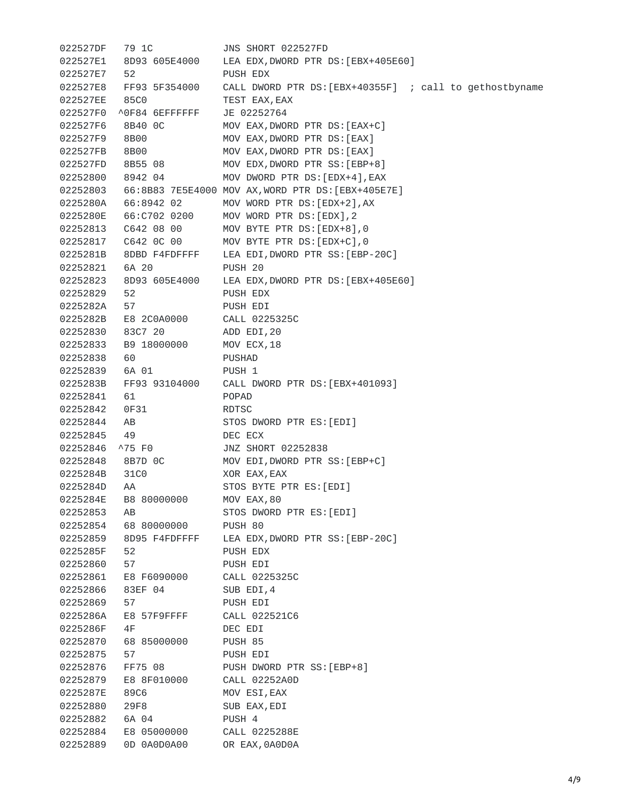022527DF 79 1C JNS SHORT 022527FD 022527E1 8D93 605E4000 LEA EDX,DWORD PTR DS:[EBX+405E60] 022527E7 52 PUSH EDX 022527E8 FF93 5F354000 CALL DWORD PTR DS: [EBX+40355F] ; call to gethostbyname 022527EE 85C0 TEST EAX,EAX 022527F0 ^0F84 6EFFFFFF JE 02252764 022527F6 8B40 0C MOV EAX,DWORD PTR DS:[EAX+C] 022527F9 8B00 MOV EAX,DWORD PTR DS:[EAX] 022527FB 8B00 MOV EAX,DWORD PTR DS:[EAX] 022527FD 8B55 08 MOV EDX,DWORD PTR SS:[EBP+8] 02252800 8942 04 MOV DWORD PTR DS:[EDX+4],EAX 02252803 66:8B83 7E5E4000 MOV AX,WORD PTR DS:[EBX+405E7E] 0225280A 66:8942 02 MOV WORD PTR DS:[EDX+2],AX 0225280E 66:C702 0200 MOV WORD PTR DS:[EDX],2 02252813 C642 08 00 MOV BYTE PTR DS:[EDX+8],0 02252817 C642 0C 00 MOV BYTE PTR DS:[EDX+C],0 0225281B 8DBD F4FDFFFF LEA EDI,DWORD PTR SS:[EBP-20C] 02252821 6A 20 PUSH 20 02252823 8D93 605E4000 LEA EDX,DWORD PTR DS:[EBX+405E60]<br>02252829 52 PUSH EDX<br>0225282A 57 PUSH EDI 02252829 52 PUSH EDX 0225282A 57 PUSH EDI 0225282B E8 2C0A0000 CALL 0225325C 02252830 83C7 20 ADD EDI,20 02252833 B9 18000000 MOV ECX,18 02252838 60 PUSHAD 02252839 6A 01 PUSH 1 0225283B FF93 93104000 CALL DWORD PTR DS:[EBX+401093] 02252841 61 POPAD 02252842 0F31 RDTSC 02252844 AB STOS DWORD PTR ES:[EDI] 02252845 49 DEC ECX 02252846 ^75 F0 JNZ SHORT 02252838 02252848 8B7D 0C MOV EDI,DWORD PTR SS:[EBP+C] 0225284B 31C0 XOR EAX,EAX 0225284D AA STOS BYTE PTR ES:[EDI] 0225284E B8 80000000 MOV EAX,80 02252853 AB STOS DWORD PTR ES:[EDI] 02252854 68 80000000 PUSH 80 02252859 8D95 F4FDFFFF LEA EDX,DWORD PTR SS:[EBP-20C] 0225285F 52 PUSH EDX 02252860 57 PUSH EDI 02252861 E8 F6090000 CALL 0225325C 02252866 83EF 04 SUB EDI,4 02252869 57 PUSH EDI 0225286A E8 57F9FFFF CALL 022521C6 0225286F 4F DEC EDI 02252870 68 85000000 PUSH 85 02252875 57 PUSH EDI 02252876 FF75 08 PUSH DWORD PTR SS:[EBP+8] 02252879 E8 8F010000 CALL 02252A0D 0225287E 89C6 MOV ESI,EAX 02252880 29F8 SUB EAX,EDI 02252882 6A 04 PUSH 4 02252884 E8 05000000 CALL 0225288E 02252889 0D 0A0D0A00 OR EAX,0A0D0A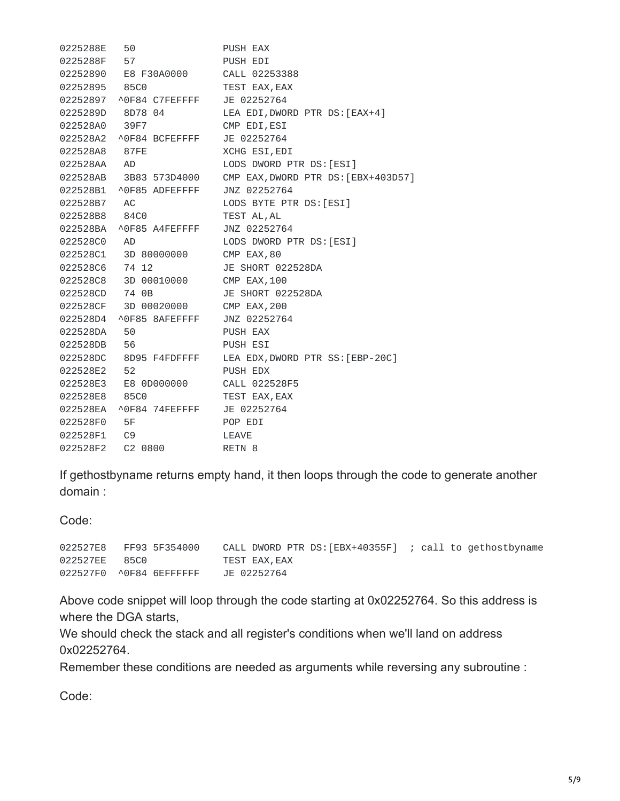0225288E 50 PUSH EAX 0225288F 57 PUSH EDI 02252890 E8 F30A0000 CALL 02253388 02252895 85C0 TEST EAX,EAX 02252897 ^0F84 C7FEFFFF JE 02252764 0225289D 8D78 04 LEA EDI,DWORD PTR DS:[EAX+4] 022528A0 39F7 CMP EDI,ESI 022528A2 ^0F84 BCFEFFFF JE 02252764 022528A8 87FE XCHG ESI,EDI 022528AA AD LODS DWORD PTR DS:[ESI] 022528AB 3B83 573D4000 CMP EAX,DWORD PTR DS:[EBX+403D57] 022528B1 ^0F85 ADFEFFFF JNZ 02252764 022528B7 AC LODS BYTE PTR DS:[ESI] 022528B8 84C0 TEST AL,AL 022528BA ^0F85 A4FEFFFF JNZ 02252764 022528C0 AD LODS DWORD PTR DS:[ESI] 022528C1 3D 80000000 CMP EAX,80 022528C6 74 12 JE SHORT 022528DA 022528C8 3D 00010000 CMP EAX,100 022528CD 74 0B JE SHORT 022528DA 022528CF 3D 00020000 CMP EAX,200 022528D4 ^0F85 8AFEFFFF JNZ 02252764 022528DA 50 PUSH EAX 022528DB 56 PUSH ESI 022528DC 8D95 F4FDFFFF LEA EDX,DWORD PTR SS:[EBP-20C] 022528E2 52 PUSH EDX 022528E3 E8 0D000000 CALL 022528F5 022528E8 85C0 TEST EAX,EAX 022528EA ^0F84 74FEFFFF JE 02252764 022528F0 5F POP EDI 022528F1 C9 LEAVE 022528F2 C2 0800 RETN 8

If gethostbyname returns empty hand, it then loops through the code to generate another domain :

Code:

022527E8 FF93 5F354000 CALL DWORD PTR DS:[EBX+40355F] ; call to gethostbyname 022527EE 85C0 TEST EAX,EAX 022527F0 ^0F84 6EFFFFFF JE 02252764

Above code snippet will loop through the code starting at 0x02252764. So this address is where the DGA starts,

We should check the stack and all register's conditions when we'll land on address 0x02252764.

Remember these conditions are needed as arguments while reversing any subroutine :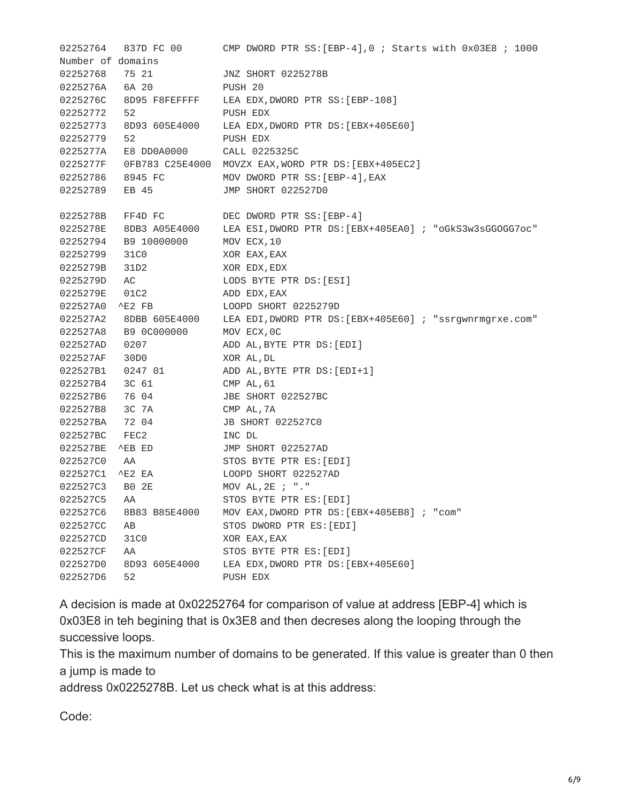02252764 837D FC 00 CMP DWORD PTR SS:[EBP-4],0 ; Starts with 0x03E8 ; 1000 Number of domains 02252768 75 21 JNZ SHORT 0225278B 0225276A 6A 20 PUSH 20 0225276C 8D95 F8FEFFFF LEA EDX,DWORD PTR SS:[EBP-108] 02252772 52 PUSH EDX 02252773 8D93 605E4000 LEA EDX,DWORD PTR DS:[EBX+405E60] 02252779 52 PUSH EDX 0225277A E8 DD0A0000 CALL 0225325C 0225277F 0FB783 C25E4000 MOVZX EAX,WORD PTR DS:[EBX+405EC2] 02252786 8945 FC MOV DWORD PTR SS:[EBP-4],EAX 02252789 EB 45 JMP SHORT 022527D0 0225278B FF4D FC DEC DWORD PTR SS:[EBP-4] 0225278E 8DB3 A05E4000 LEA ESI,DWORD PTR DS:[EBX+405EA0] ; "oGkS3w3sGGOGG7oc" 02252794 B9 10000000 MOV ECX,10 02252799 31C0 XOR EAX,EAX 0225279B 31D2 XOR EDX,EDX 0225279D AC LODS BYTE PTR DS:[ESI] 0225279E 01C2 ADD EDX,EAX 022527A0 ^E2 FB LOOPD SHORT 0225279D 022527A2 8DBB 605E4000 LEA EDI,DWORD PTR DS:[EBX+405E60] ; "ssrgwnrmgrxe.com" 022527A8 B9 0C000000 MOV ECX,0C 022527AD 0207 ADD AL,BYTE PTR DS:[EDI] 022527AF 30D0 XOR AL,DL 022527B1 0247 01 ADD AL,BYTE PTR DS:[EDI+1] 022527B4 3C 61 CMP AL,61 022527B6 76 04 JBE SHORT 022527BC 022527B8 3C 7A CMP AL,7A 022527BA 72 04 JB SHORT 022527C0 022527BC FEC2 INC DL 022527BE ^EB ED JMP SHORT 022527AD 022527C0 AA STOS BYTE PTR ES:[EDI] 022527C1 ^E2 EA LOOPD SHORT 022527AD 022527C3 B0 2E MOV AL,2E ; "." 022527C5 AA STOS BYTE PTR ES:[EDI] 022527C6 8B83 B85E4000 MOV EAX,DWORD PTR DS:[EBX+405EB8] ; "com" 022527CC AB STOS DWORD PTR ES: [EDI] 022527CD 31C0 XOR EAX,EAX 022527CF AA STOS BYTE PTR ES: [EDI] 022527D0 8D93 605E4000 LEA EDX,DWORD PTR DS:[EBX+405E60] 022527D6 52 PUSH EDX

A decision is made at 0x02252764 for comparison of value at address [EBP-4] which is 0x03E8 in teh begining that is 0x3E8 and then decreses along the looping through the successive loops.

This is the maximum number of domains to be generated. If this value is greater than 0 then a jump is made to

address 0x0225278B. Let us check what is at this address: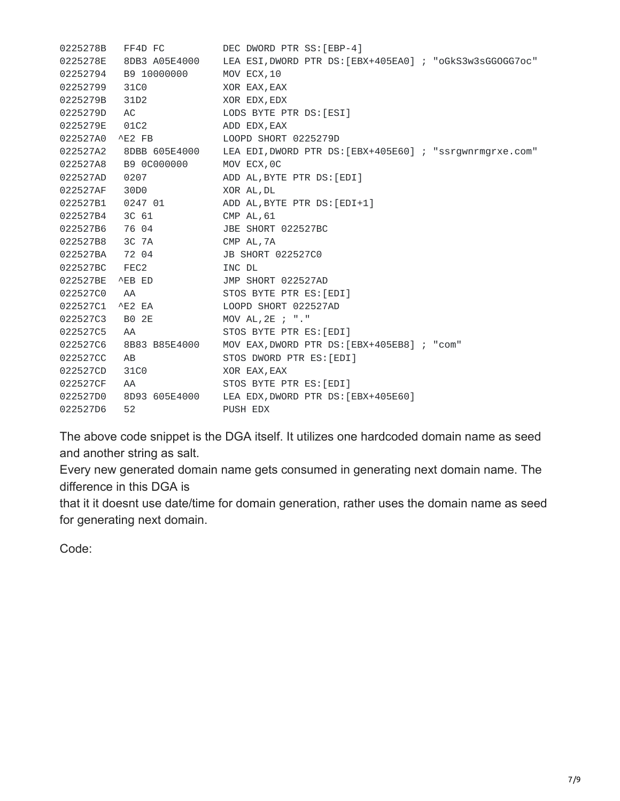| 0225278B | FF4D FC       | DEC DWORD PTR SS: [EBP-4]                                |
|----------|---------------|----------------------------------------------------------|
| 0225278E | 8DB3 A05E4000 | LEA ESI, DWORD PTR DS: [EBX+405EA0] ; "oGkS3w3sGGOGG7oc" |
| 02252794 | B9 10000000   | MOV ECX, 10                                              |
| 02252799 | 31C0          | XOR EAX, EAX                                             |
| 0225279B | 31D2          | XOR EDX, EDX                                             |
| 0225279D | AC            | LODS BYTE PTR DS: [ESI]                                  |
| 0225279E | 01C2          | ADD EDX, EAX                                             |
| 022527A0 | ^E2 FB        | LOOPD SHORT 0225279D                                     |
| 022527A2 | 8DBB 605E4000 | LEA EDI, DWORD PTR DS: [EBX+405E60] ; "ssrgwnrmgrxe.com" |
| 022527A8 | B9 0C000000   | MOV ECX, OC                                              |
| 022527AD | 0207          | ADD AL, BYTE PTR DS: [EDI]                               |
| 022527AF | 30D0          | XOR AL, DL                                               |
| 022527B1 | 0247 01       | ADD AL, BYTE PTR DS: [EDI+1]                             |
| 022527B4 | 3C 61         | CMP AL, 61                                               |
| 022527B6 | 76 04         | JBE SHORT 022527BC                                       |
| 022527B8 | 3C 7A         | CMP AL, 7A                                               |
| 022527BA | 72 04         | <b>JB SHORT 022527C0</b>                                 |
| 022527BC | FEC2          | INC DL                                                   |
| 022527BE | ^EB ED        | JMP SHORT 022527AD                                       |
| 022527C0 | AA            | STOS BYTE PTR ES: [EDI]                                  |
| 022527C1 | ^E2 EA        | LOOPD SHORT 022527AD                                     |
| 022527C3 | B0 2E         | MOV AL, 2E ; "."                                         |
| 022527C5 | AA            | STOS BYTE PTR ES: [EDI]                                  |
| 022527C6 | 8B83 B85E4000 | MOV EAX, DWORD PTR DS: [EBX+405EB8] ; "com"              |
| 022527CC | AB            | STOS DWORD PTR ES: [EDI]                                 |
| 022527CD | 31C0          | XOR EAX, EAX                                             |
| 022527CF | AA            | STOS BYTE PTR ES: [EDI]                                  |
| 022527D0 | 8D93 605E4000 | LEA EDX, DWORD PTR DS: [EBX+405E60]                      |
| 022527D6 | 52            | PUSH EDX                                                 |

The above code snippet is the DGA itself. It utilizes one hardcoded domain name as seed and another string as salt.

Every new generated domain name gets consumed in generating next domain name. The difference in this DGA is

that it it doesnt use date/time for domain generation, rather uses the domain name as seed for generating next domain.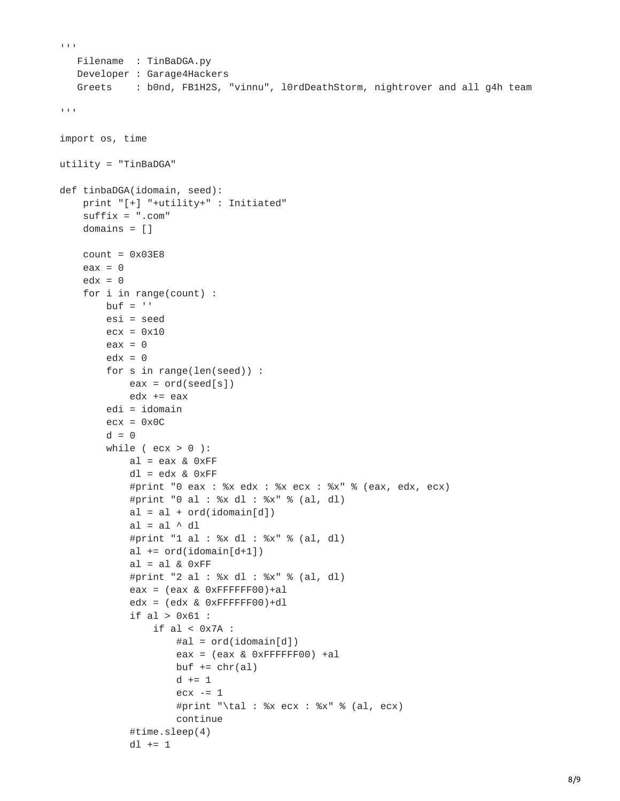```
\bar{1}' I'\bar{1}Filename : TinBaDGA.py
   Developer : Garage4Hackers
   Greets : b0nd, FB1H2S, "vinnu", l0rdDeathStorm, nightrover and all g4h team
\mathbf{r} \cdot \mathbf{r} \cdot \mathbf{r}import os, time
utility = "TinBaDGA"
def tinbaDGA(idomain, seed):
    print "[+] "+utility+" : Initiated"
    suffix = ".com"
    domains = []count = 0 \times 03E8eax = 0edx = 0for i in range(count) :
        buf = 'esi = seed
        ecx = 0x10eax = 0edx = 0for s in range(len(seed)) :
            eax = ord(seed[s])edx == eaxedi = idomainecx = 0x0Cd = 0while ( ecx > 0 ):
            al = eax & 0xFFdl = edx & 0xFF#print "0 eax : %x edx : %x ecx : %x" % (eax, edx, ecx)
            #print "0 al : %x dl : %x" % (al, dl)
            al = al + ord(idomain[d])al = al \wedge dl#print "1 al : %x dl : %x" % (al, dl)
            al += ord(idomain[d+1])al = al & 0xFF#print "2 al : %x dl : %x" % (al, dl)
            eax = (eax & 0xFFFFFF00)+a1edx = (edx & 0xFFFFFF00)+d1if al > 0x61 :
                 if \text{al} < 0 x 7A :
                     #al = ord(idomain[d])eax = (eax & 0xFFFFFF00) +a1buf += chr(al)d += 1
                     ex -= 1#print "\tal : %x ecx : %x" % (al, ecx)
                     continue
            #time.sleep(4)
            dl += 1
```